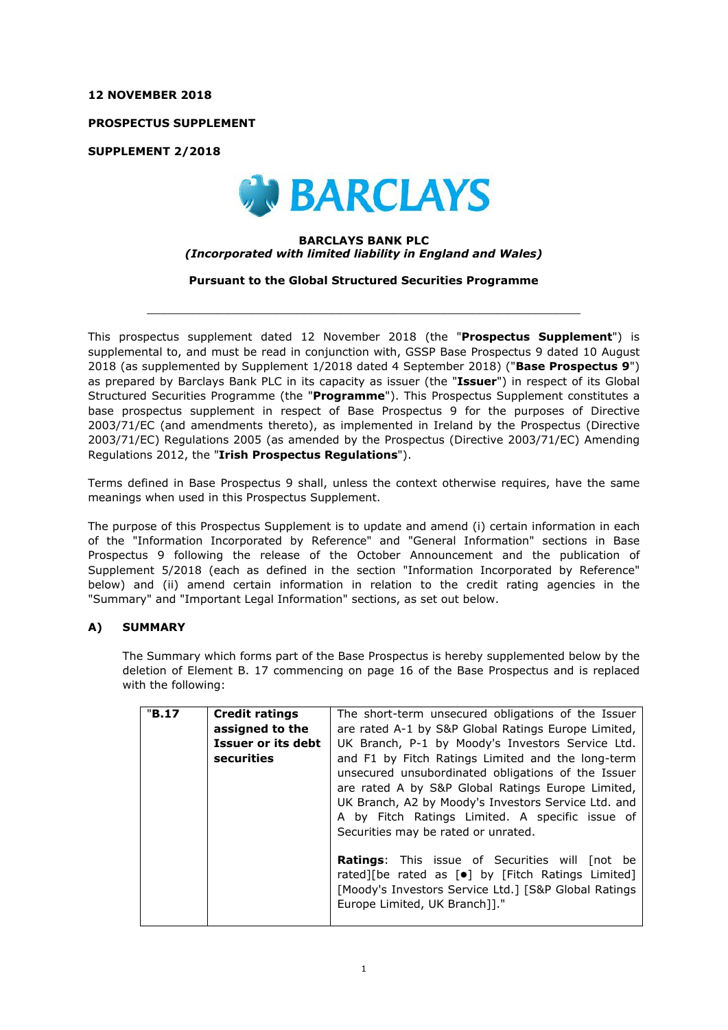### **12 NOVEMBER 2018**

**PROSPECTUS SUPPLEMENT**

**SUPPLEMENT 2/2018**



# **BARCLAYS BANK PLC** *(Incorporated with limited liability in England and Wales)*

**Pursuant to the Global Structured Securities Programme**

 $\_$  ,  $\_$  ,  $\_$  ,  $\_$  ,  $\_$  ,  $\_$  ,  $\_$  ,  $\_$  ,  $\_$  ,  $\_$  ,  $\_$  ,  $\_$  ,  $\_$  ,  $\_$  ,  $\_$  ,  $\_$  ,  $\_$  ,  $\_$  ,  $\_$  ,  $\_$  ,  $\_$  ,  $\_$  ,  $\_$  ,  $\_$  ,  $\_$  ,  $\_$  ,  $\_$  ,  $\_$  ,  $\_$  ,  $\_$  ,  $\_$  ,  $\_$  ,  $\_$  ,  $\_$  ,  $\_$  ,  $\_$  ,  $\_$  ,

This prospectus supplement dated 12 November 2018 (the "**Prospectus Supplement**") is supplemental to, and must be read in conjunction with, GSSP Base Prospectus 9 dated 10 August 2018 (as supplemented by Supplement 1/2018 dated 4 September 2018) ("**Base Prospectus 9**") as prepared by Barclays Bank PLC in its capacity as issuer (the "**Issuer**") in respect of its Global Structured Securities Programme (the "**Programme**"). This Prospectus Supplement constitutes a base prospectus supplement in respect of Base Prospectus 9 for the purposes of Directive 2003/71/EC (and amendments thereto), as implemented in Ireland by the Prospectus (Directive 2003/71/EC) Regulations 2005 (as amended by the Prospectus (Directive 2003/71/EC) Amending Regulations 2012, the "**Irish Prospectus Regulations**").

Terms defined in Base Prospectus 9 shall, unless the context otherwise requires, have the same meanings when used in this Prospectus Supplement.

The purpose of this Prospectus Supplement is to update and amend (i) certain information in each of the "Information Incorporated by Reference" and "General Information" sections in Base Prospectus 9 following the release of the October Announcement and the publication of Supplement 5/2018 (each as defined in the section "Information Incorporated by Reference" below) and (ii) amend certain information in relation to the credit rating agencies in the "Summary" and "Important Legal Information" sections, as set out below.

# **A) SUMMARY**

The Summary which forms part of the Base Prospectus is hereby supplemented below by the deletion of Element B. 17 commencing on page 16 of the Base Prospectus and is replaced with the following:

| "B.17 | <b>Credit ratings</b><br>assigned to the<br>Issuer or its debt<br>securities | The short-term unsecured obligations of the Issuer<br>are rated A-1 by S&P Global Ratings Europe Limited,<br>UK Branch, P-1 by Moody's Investors Service Ltd.<br>and F1 by Fitch Ratings Limited and the long-term<br>unsecured unsubordinated obligations of the Issuer<br>are rated A by S&P Global Ratings Europe Limited,<br>UK Branch, A2 by Moody's Investors Service Ltd. and<br>A by Fitch Ratings Limited. A specific issue of<br>Securities may be rated or unrated. |
|-------|------------------------------------------------------------------------------|--------------------------------------------------------------------------------------------------------------------------------------------------------------------------------------------------------------------------------------------------------------------------------------------------------------------------------------------------------------------------------------------------------------------------------------------------------------------------------|
|       |                                                                              | <b>Ratings:</b> This issue of Securities will [not be<br>rated][be rated as [ $\bullet$ ] by [Fitch Ratings Limited]<br>[Moody's Investors Service Ltd.] [S&P Global Ratings<br>Europe Limited, UK Branch]]."                                                                                                                                                                                                                                                                  |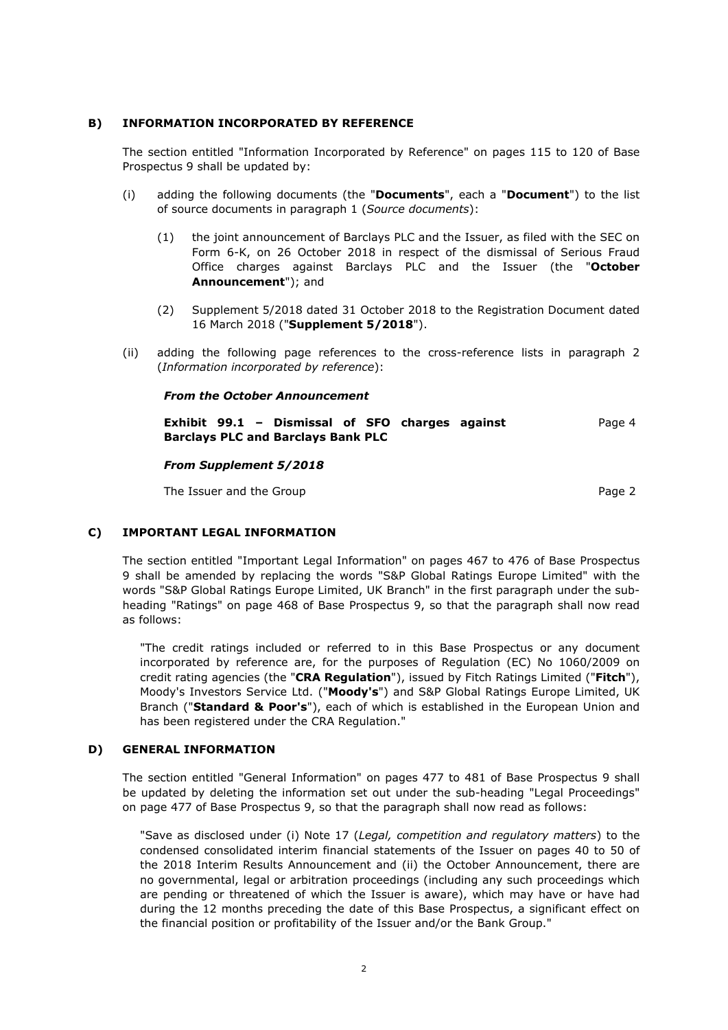# **B) INFORMATION INCORPORATED BY REFERENCE**

The section entitled "Information Incorporated by Reference" on pages 115 to 120 of Base Prospectus 9 shall be updated by:

- (i) adding the following documents (the "**Documents**", each a "**Document**") to the list of source documents in paragraph 1 (*Source documents*):
	- (1) the joint announcement of Barclays PLC and the Issuer, as filed with the SEC on Form 6-K, on 26 October 2018 in respect of the dismissal of Serious Fraud Office charges against Barclays PLC and the Issuer (the "**October Announcement**"); and
	- (2) Supplement 5/2018 dated 31 October 2018 to the Registration Document dated 16 March 2018 ("**Supplement 5/2018**").
- (ii) adding the following page references to the cross-reference lists in paragraph 2 (*Information incorporated by reference*):

### *From the October Announcement*

**Exhibit 99.1 – Dismissal of SFO charges against Barclays PLC and Barclays Bank PLC** Page 4

#### *From Supplement 5/2018*

The Issuer and the Group **Page 2** and the Group **Page 2** 

### **C) IMPORTANT LEGAL INFORMATION**

The section entitled "Important Legal Information" on pages 467 to 476 of Base Prospectus 9 shall be amended by replacing the words "S&P Global Ratings Europe Limited" with the words "S&P Global Ratings Europe Limited, UK Branch" in the first paragraph under the subheading "Ratings" on page 468 of Base Prospectus 9, so that the paragraph shall now read as follows:

"The credit ratings included or referred to in this Base Prospectus or any document incorporated by reference are, for the purposes of Regulation (EC) No 1060/2009 on credit rating agencies (the "**CRA Regulation**"), issued by Fitch Ratings Limited ("**Fitch**"), Moody's Investors Service Ltd. ("**Moody's**") and S&P Global Ratings Europe Limited, UK Branch ("**Standard & Poor's**"), each of which is established in the European Union and has been registered under the CRA Regulation."

### **D) GENERAL INFORMATION**

The section entitled "General Information" on pages 477 to 481 of Base Prospectus 9 shall be updated by deleting the information set out under the sub-heading "Legal Proceedings" on page 477 of Base Prospectus 9, so that the paragraph shall now read as follows:

"Save as disclosed under (i) Note 17 (*Legal, competition and regulatory matters*) to the condensed consolidated interim financial statements of the Issuer on pages 40 to 50 of the 2018 Interim Results Announcement and (ii) the October Announcement, there are no governmental, legal or arbitration proceedings (including any such proceedings which are pending or threatened of which the Issuer is aware), which may have or have had during the 12 months preceding the date of this Base Prospectus, a significant effect on the financial position or profitability of the Issuer and/or the Bank Group."